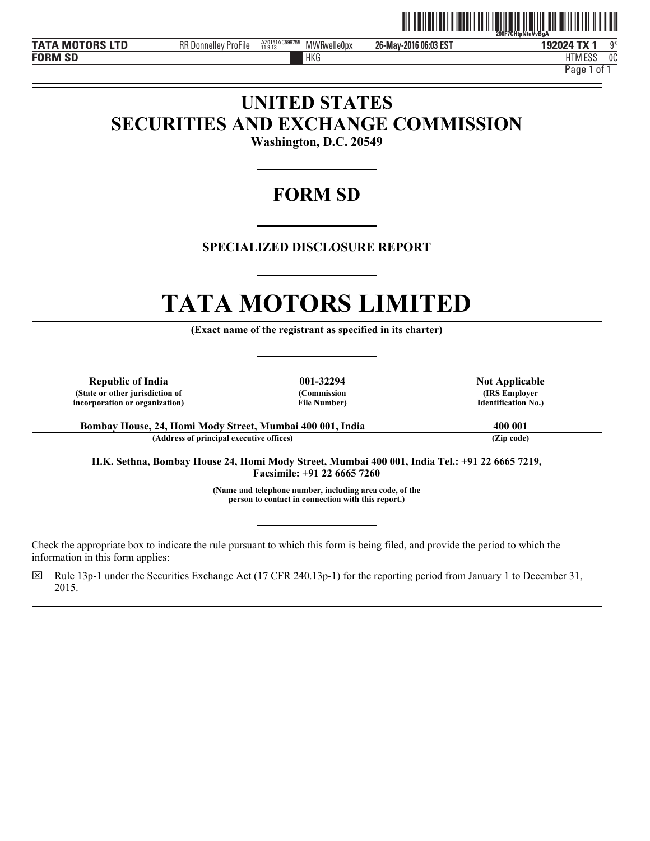

 $\overline{a}$ l

 $\overline{a}$ 

HTM ESS 0C

HKG HTM Page 1 of 1

# **UNITED STATES SECURITIES AND EXCHANGE COMMISSION**

**Washington, D.C. 20549** 

# **FORM SD**

# **SPECIALIZED DISCLOSURE REPORT**

# **TATA MOTORS LIMITED (Exact name of the registrant as specified in its charter)**

**Republic of India 12.1294 12.1294 12.1294 12.1294 12.1294 12.1294 12.1294 12.1294 12.1294 (State or other jurisdiction of incorporation or organization)**

**(Commission File Number)**

**(IRS Employer Identification No.)**

**Bombay House, 24, Homi Mody Street, Mumbai 400 001, India 400 001(Address of principal executive offices) (Zip code)**

**H.K. Sethna, Bombay House 24, Homi Mody Street, Mumbai 400 001, India Tel.: +91 22 6665 7219, Facsimile: +91 22 6665 7260**<br>(Name and telephone number, including area code, of the

**person to contact in connection with this report.)** 

Check the appropriate box to indicate the rule pursuant to which this form is being filed, and provide the period to which the information in this form applies:

 $\boxtimes$  Rule 13p-1 under the Securities Exchange Act (17 CFR 240.13p-1) for the reporting period from January 1 to December 31, 2015.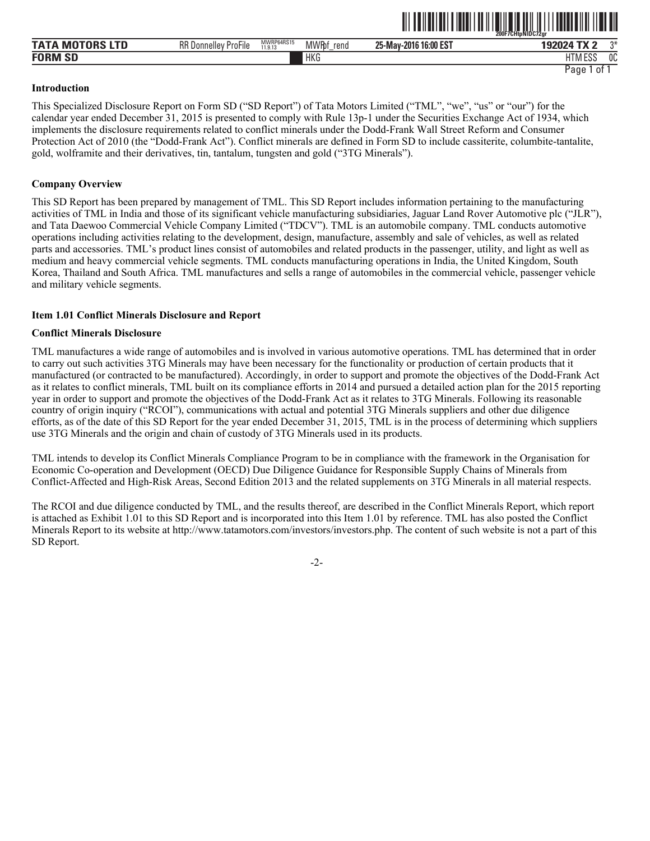|                             |                                                          |                       |                            |                       | 200F7CHtpNIDC72ar                |      |
|-----------------------------|----------------------------------------------------------|-----------------------|----------------------------|-----------------------|----------------------------------|------|
| <b>MO</b><br><b>TAT</b>     | RR D<br>$- \cdot \cdot$<br>-<br>' ProFile<br>. Donnellev | MWRP64RS15<br>11.9.13 | <b>MWR</b> bf<br>rend<br>- | 25-May-2016 16:00 EST | $102024$ T<br><b>STATISTICS</b>  | $n*$ |
| <b>FORM</b><br>$\sim$<br>ЮL |                                                          |                       | <b>HKG</b>                 |                       | <b>FOO</b><br>ידוו<br>LI INI LYY | 0C   |

ˆ200F7CHtpNlDC72grŠ

Page 1 of 1

#### **Introduction**

This Specialized Disclosure Report on Form SD ("SD Report") of Tata Motors Limited ("TML", "we", "us" or "our") for the calendar year ended December 31, 2015 is presented to comply with Rule 13p-1 under the Securities Exchange Act of 1934, which implements the disclosure requirements related to conflict minerals under the Dodd-Frank Wall Street Reform and Consumer Protection Act of 2010 (the "Dodd-Frank Act"). Conflict minerals are defined in Form SD to include cassiterite, columbite-tantalite, gold, wolframite and their derivatives, tin, tantalum, tungsten and gold ("3TG Minerals").

# **Company Overview**

This SD Report has been prepared by management of TML. This SD Report includes information pertaining to the manufacturing activities of TML in India and those of its significant vehicle manufacturing subsidiaries, Jaguar Land Rover Automotive plc ("JLR"), and Tata Daewoo Commercial Vehicle Company Limited ("TDCV"). TML is an automobile company. TML conducts automotive operations including activities relating to the development, design, manufacture, assembly and sale of vehicles, as well as related parts and accessories. TML's product lines consist of automobiles and related products in the passenger, utility, and light as well as medium and heavy commercial vehicle segments. TML conducts manufacturing operations in India, the United Kingdom, South Korea, Thailand and South Africa. TML manufactures and sells a range of automobiles in the commercial vehicle, passenger vehicle and military vehicle segments.

# **Item 1.01 Conflict Minerals Disclosure and Report**

### **Conflict Minerals Disclosure**

TML manufactures a wide range of automobiles and is involved in various automotive operations. TML has determined that in order to carry out such activities 3TG Minerals may have been necessary for the functionality or production of certain products that it manufactured (or contracted to be manufactured). Accordingly, in order to support and promote the objectives of the Dodd-Frank Act as it relates to conflict minerals, TML built on its compliance efforts in 2014 and pursued a detailed action plan for the 2015 reporting year in order to support and promote the objectives of the Dodd-Frank Act as it relates to 3TG Minerals. Following its reasonable country of origin inquiry ("RCOI"), communications with actual and potential 3TG Minerals suppliers and other due diligence efforts, as of the date of this SD Report for the year ended December 31, 2015, TML is in the process of determining which suppliers use 3TG Minerals and the origin and chain of custody of 3TG Minerals used in its products.

TML intends to develop its Conflict Minerals Compliance Program to be in compliance with the framework in the Organisation for Economic Co-operation and Development (OECD) Due Diligence Guidance for Responsible Supply Chains of Minerals from Conflict-Affected and High-Risk Areas, Second Edition 2013 and the related supplements on 3TG Minerals in all material respects.

The RCOI and due diligence conducted by TML, and the results thereof, are described in the Conflict Minerals Report, which report is attached as Exhibit 1.01 to this SD Report and is incorporated into this Item 1.01 by reference. TML has also posted the Conflict Minerals Report to its website at http://www.tatamotors.com/investors/investors.php. The content of such website is not a part of this SD Report.

-2-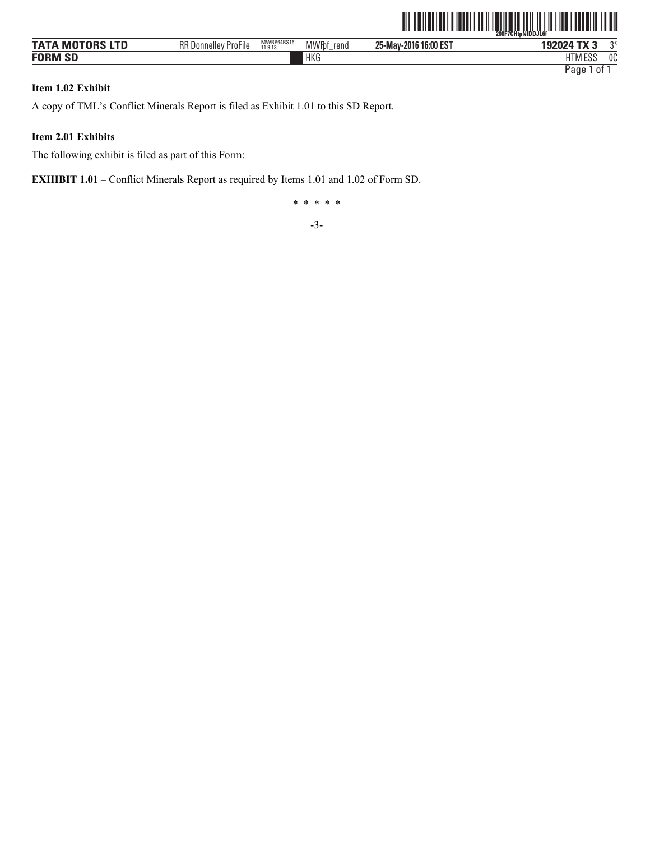|                        |                             |                       |                       |                       | <sup>-</sup> Ž00F7CHtoNIDDJL6f |
|------------------------|-----------------------------|-----------------------|-----------------------|-----------------------|--------------------------------|
| <b>TATA MOTORS LTD</b> | <b>RR Donnelley ProFile</b> | MWRP64RS15<br>11.9.13 | <b>MWR</b> bf<br>rend | 25-May-2016 16:00 EST | 192024 TX 3<br>ግ*              |
| <b>FORM SD</b>         |                             |                       | HKG                   |                       | <b>HTM ESS</b><br>0C           |
|                        |                             |                       |                       |                       | 0f<br>Page 1                   |

# **Item 1.02 Exhibit**

A copy of TML's Conflict Minerals Report is filed as Exhibit 1.01 to this SD Report.

# **Item 2.01 Exhibits**

The following exhibit is filed as part of this Form:

**EXHIBIT 1.01** – Conflict Minerals Report as required by Items 1.01 and 1.02 of Form SD.

\* \* \* \* \*

-3-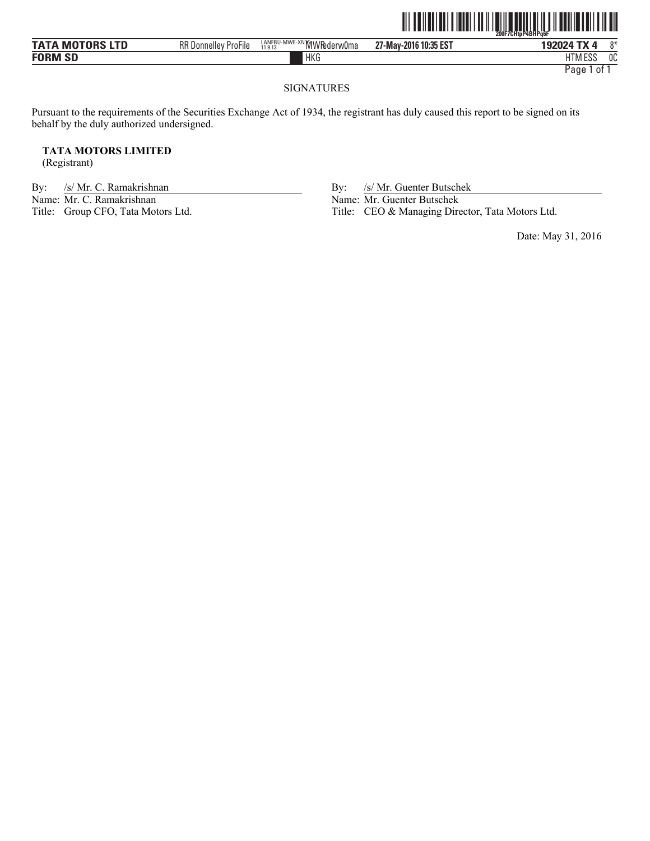|                        |                             |                                      |                       | $\  \, \ $<br><u> IIIII IIIIIIIII</u><br>200F7CHtpP4BHPg6F |
|------------------------|-----------------------------|--------------------------------------|-----------------------|------------------------------------------------------------|
| <b>TATA MOTORS LTD</b> | <b>RR Donnelley ProFile</b> | LANFBU-MWE-XN MWRederw0ma<br>11.9.13 | 27-May-2016 10:35 EST | 0*<br>192024 TX 4                                          |
| <b>FORM SD</b>         |                             | HKG                                  |                       | 0C<br><b>HTM ESS</b>                                       |
|                        |                             |                                      |                       | Page 1<br>0t                                               |

# SIGNATURES

Pursuant to the requirements of the Securities Exchange Act of 1934, the registrant has duly caused this report to be signed on its behalf by the duly authorized undersigned.

# **TATA MOTORS LIMITED**

(Registrant)

By: /s/ Mr. C. Ramakrishnan By: /s/ Mr. Guenter Butschek<br>Name: Mr. C. Ramakrishnan Name: Mr. Guenter Butschek Name: Mr. C. Ramakrishnan Name: Mr. Guenter Butschek<br>Title: Group CFO, Tata Motors Ltd. Title: CEO & Managing Dire

Title: CEO & Managing Director, Tata Motors Ltd.

Date: May 31, 2016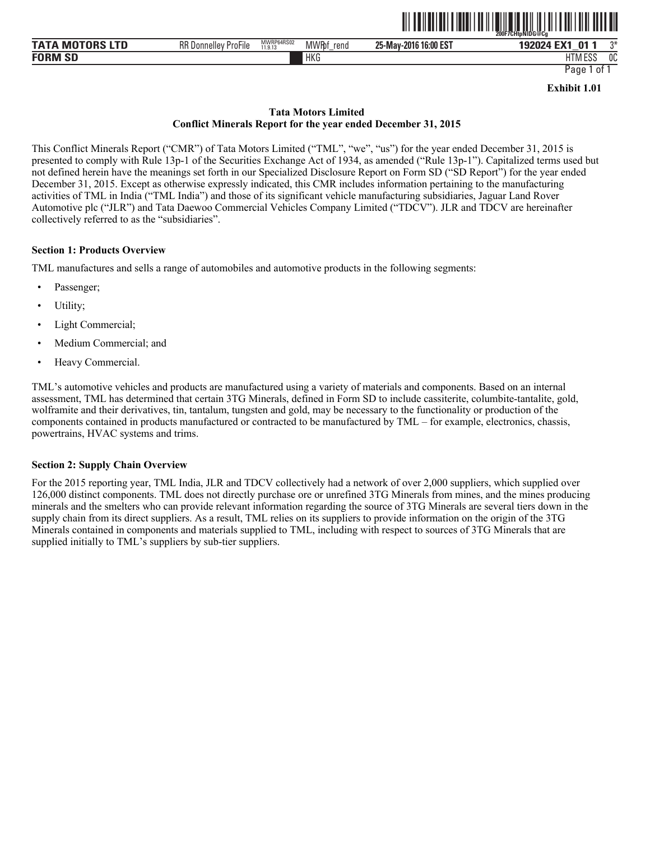

| $\begin{array}{c} \texttt{maxmax} \\ \texttt{maxmax} \end{array}$<br>MI<br>UK. | <b>DDD</b><br>. Donnellev '<br>ProFile | MWRP64RS02<br>11.9.13 | <b>MWRbf</b><br>rend | 16:00 EST<br>25-May-2016 | 192024 EX1<br>$\mathbf{0}$<br>192<br>_ | $^{\text{A}}$ |
|--------------------------------------------------------------------------------|----------------------------------------|-----------------------|----------------------|--------------------------|----------------------------------------|---------------|
| <b>FORM</b><br>$\sim$<br>SL                                                    |                                        |                       | <b>HKG</b>           |                          | FOC<br>HIM ESS                         | 0C            |

Page 1 of 1

**Exhibit 1.01** 

# **Tata Motors Limited Conflict Minerals Report for the year ended December 31, 2015**

This Conflict Minerals Report ("CMR") of Tata Motors Limited ("TML", "we", "us") for the year ended December 31, 2015 is presented to comply with Rule 13p-1 of the Securities Exchange Act of 1934, as amended ("Rule 13p-1"). Capitalized terms used but not defined herein have the meanings set forth in our Specialized Disclosure Report on Form SD ("SD Report") for the year ended December 31, 2015. Except as otherwise expressly indicated, this CMR includes information pertaining to the manufacturing activities of TML in India ("TML India") and those of its significant vehicle manufacturing subsidiaries, Jaguar Land Rover Automotive plc ("JLR") and Tata Daewoo Commercial Vehicles Company Limited ("TDCV"). JLR and TDCV are hereinafter collectively referred to as the "subsidiaries".

# **Section 1: Products Overview**

TML manufactures and sells a range of automobiles and automotive products in the following segments:

- Passenger;
- Utility;
- Light Commercial;
- Medium Commercial; and
- Heavy Commercial.

TML's automotive vehicles and products are manufactured using a variety of materials and components. Based on an internal assessment, TML has determined that certain 3TG Minerals, defined in Form SD to include cassiterite, columbite-tantalite, gold, wolframite and their derivatives, tin, tantalum, tungsten and gold, may be necessary to the functionality or production of the components contained in products manufactured or contracted to be manufactured by TML – for example, electronics, chassis, powertrains, HVAC systems and trims.

# **Section 2: Supply Chain Overview**

For the 2015 reporting year, TML India, JLR and TDCV collectively had a network of over 2,000 suppliers, which supplied over 126,000 distinct components. TML does not directly purchase ore or unrefined 3TG Minerals from mines, and the mines producing minerals and the smelters who can provide relevant information regarding the source of 3TG Minerals are several tiers down in the supply chain from its direct suppliers. As a result, TML relies on its suppliers to provide information on the origin of the 3TG Minerals contained in components and materials supplied to TML, including with respect to sources of 3TG Minerals that are supplied initially to TML's suppliers by sub-tier suppliers.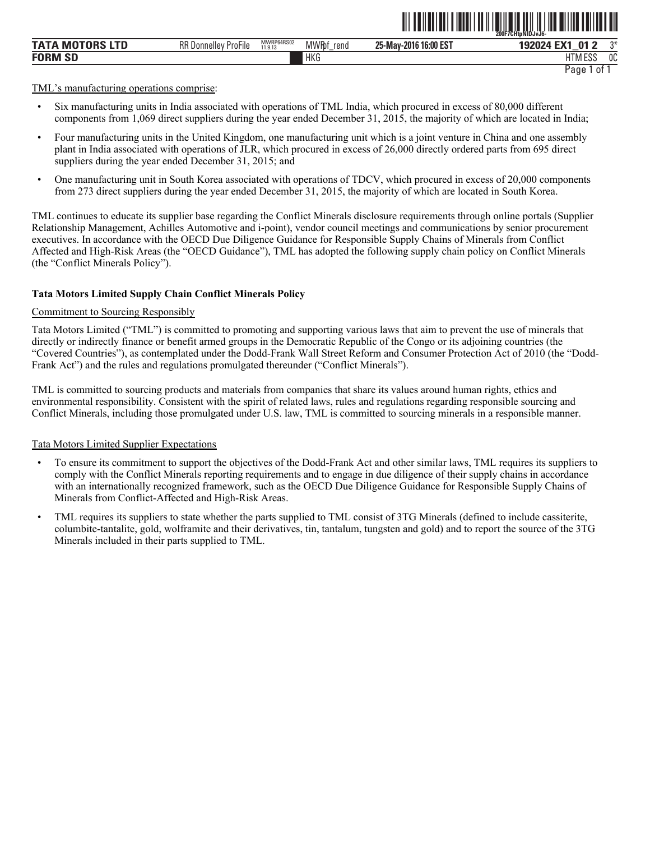|                                  |                                                     |                       |                       | ---------                | 200F7CHtpNIDJvJ6-                       |      |
|----------------------------------|-----------------------------------------------------|-----------------------|-----------------------|--------------------------|-----------------------------------------|------|
| <b>TATA</b><br><b>MOTORS LTD</b> | $- \cdot \cdot$<br><b>RR</b> Donnelley<br>' ProFile | MWRP64RS02<br>11.9.13 | <b>MWR</b> bf<br>rend | 16:00 EST<br>25-May-2016 | <b>EV</b><br>ก1<br>192                  | $2*$ |
| <b>FORM SD</b>                   |                                                     |                       | <b>HKG</b>            |                          | <sub>0</sub> C<br>11T11F00<br>I IVI ESC |      |
|                                  |                                                     |                       |                       |                          | 01<br>Page                              |      |

ˆ200F7CHtpNlDJvJ6-Š

TML's manufacturing operations comprise:

- Six manufacturing units in India associated with operations of TML India, which procured in excess of 80,000 different components from 1,069 direct suppliers during the year ended December 31, 2015, the majority of which are located in India;
- Four manufacturing units in the United Kingdom, one manufacturing unit which is a joint venture in China and one assembly plant in India associated with operations of JLR, which procured in excess of 26,000 directly ordered parts from 695 direct suppliers during the year ended December 31, 2015; and
- One manufacturing unit in South Korea associated with operations of TDCV, which procured in excess of 20,000 components from 273 direct suppliers during the year ended December 31, 2015, the majority of which are located in South Korea.

TML continues to educate its supplier base regarding the Conflict Minerals disclosure requirements through online portals (Supplier Relationship Management, Achilles Automotive and i-point), vendor council meetings and communications by senior procurement executives. In accordance with the OECD Due Diligence Guidance for Responsible Supply Chains of Minerals from Conflict Affected and High-Risk Areas (the "OECD Guidance"), TML has adopted the following supply chain policy on Conflict Minerals (the "Conflict Minerals Policy").

### **Tata Motors Limited Supply Chain Conflict Minerals Policy**

#### Commitment to Sourcing Responsibly

Tata Motors Limited ("TML") is committed to promoting and supporting various laws that aim to prevent the use of minerals that directly or indirectly finance or benefit armed groups in the Democratic Republic of the Congo or its adjoining countries (the "Covered Countries"), as contemplated under the Dodd-Frank Wall Street Reform and Consumer Protection Act of 2010 (the "Dodd-Frank Act") and the rules and regulations promulgated thereunder ("Conflict Minerals").

TML is committed to sourcing products and materials from companies that share its values around human rights, ethics and environmental responsibility. Consistent with the spirit of related laws, rules and regulations regarding responsible sourcing and Conflict Minerals, including those promulgated under U.S. law, TML is committed to sourcing minerals in a responsible manner.

## Tata Motors Limited Supplier Expectations

- To ensure its commitment to support the objectives of the Dodd-Frank Act and other similar laws, TML requires its suppliers to comply with the Conflict Minerals reporting requirements and to engage in due diligence of their supply chains in accordance with an internationally recognized framework, such as the OECD Due Diligence Guidance for Responsible Supply Chains of Minerals from Conflict-Affected and High-Risk Areas.
- TML requires its suppliers to state whether the parts supplied to TML consist of 3TG Minerals (defined to include cassiterite, columbite-tantalite, gold, wolframite and their derivatives, tin, tantalum, tungsten and gold) and to report the source of the 3TG Minerals included in their parts supplied to TML.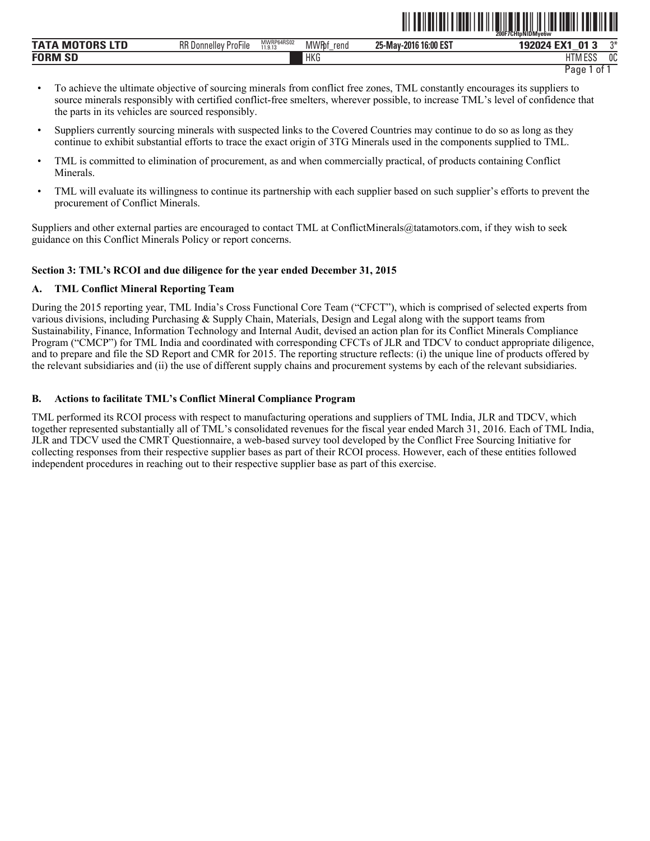|                            |                                                                 |                       |                     | ------                               | 200F7CHtpNIDMve6w          |              |
|----------------------------|-----------------------------------------------------------------|-----------------------|---------------------|--------------------------------------|----------------------------|--------------|
| TATI<br>---<br>- IV<br>LIV | $- \cdot \cdot$<br><b>DD</b><br>-<br>ProFile<br>Uonnellev<br>٦ĸ | MWRP64RS02<br>11.9.13 | <b>MWRf</b><br>rend | 16:00 EST<br>$25 -$<br>-2016<br>·Mav | $\sim$<br>J,<br>_          | $\mathbf{a}$ |
| <b>FORM SD</b>             |                                                                 |                       | <b>HKG</b>          |                                      | $\sim$<br>$-0o$<br>IIM ESS | $\sim$<br>UU |

Page 1 of 1

ˆ200F7CHtpNlDMye6wŠ

- To achieve the ultimate objective of sourcing minerals from conflict free zones, TML constantly encourages its suppliers to source minerals responsibly with certified conflict-free smelters, wherever possible, to increase TML's level of confidence that the parts in its vehicles are sourced responsibly.
- Suppliers currently sourcing minerals with suspected links to the Covered Countries may continue to do so as long as they continue to exhibit substantial efforts to trace the exact origin of 3TG Minerals used in the components supplied to TML.
- TML is committed to elimination of procurement, as and when commercially practical, of products containing Conflict Minerals.
- TML will evaluate its willingness to continue its partnership with each supplier based on such supplier's efforts to prevent the procurement of Conflict Minerals.

Suppliers and other external parties are encouraged to contact TML at ConflictMinerals@tatamotors.com, if they wish to seek guidance on this Conflict Minerals Policy or report concerns.

# **Section 3: TML's RCOI and due diligence for the year ended December 31, 2015**

# **A. TML Conflict Mineral Reporting Team**

During the 2015 reporting year, TML India's Cross Functional Core Team ("CFCT"), which is comprised of selected experts from various divisions, including Purchasing & Supply Chain, Materials, Design and Legal along with the support teams from Sustainability, Finance, Information Technology and Internal Audit, devised an action plan for its Conflict Minerals Compliance Program ("CMCP") for TML India and coordinated with corresponding CFCTs of JLR and TDCV to conduct appropriate diligence, and to prepare and file the SD Report and CMR for 2015. The reporting structure reflects: (i) the unique line of products offered by the relevant subsidiaries and (ii) the use of different supply chains and procurement systems by each of the relevant subsidiaries.

# **B. Actions to facilitate TML's Conflict Mineral Compliance Program**

TML performed its RCOI process with respect to manufacturing operations and suppliers of TML India, JLR and TDCV, which together represented substantially all of TML's consolidated revenues for the fiscal year ended March 31, 2016. Each of TML India, JLR and TDCV used the CMRT Questionnaire, a web-based survey tool developed by the Conflict Free Sourcing Initiative for collecting responses from their respective supplier bases as part of their RCOI process. However, each of these entities followed independent procedures in reaching out to their respective supplier base as part of this exercise.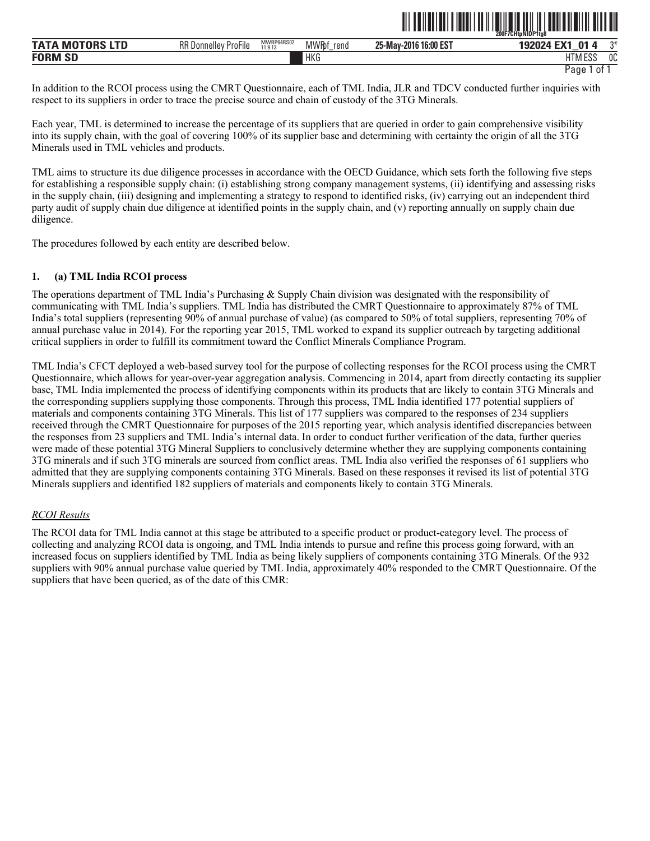|                             |                                         |                       |                      |                          | 200F7CHtpNDP1ta8<br>.                          |      |
|-----------------------------|-----------------------------------------|-----------------------|----------------------|--------------------------|------------------------------------------------|------|
| ---<br>IVI                  | $-$<br><b>RR</b> Donnelley<br>' ProFile | MWRP64RS02<br>11.9.13 | <b>MWRbf</b><br>rend | 16:00 EST<br>25-May-2016 | $\mathbf{0}^*$<br><b>EMA</b><br>ЮZ<br>wz<br>__ | $n*$ |
| <b>FORM</b><br>$\sim$<br>ЮL |                                         |                       | <b>HKG</b>           |                          | 1.000<br>טסם ועו רח                            | 0C   |

Page 1 of 1

ˆ200F7CHtpNlDP1tg8Š

In addition to the RCOI process using the CMRT Questionnaire, each of TML India, JLR and TDCV conducted further inquiries with respect to its suppliers in order to trace the precise source and chain of custody of the 3TG Minerals.

Each year, TML is determined to increase the percentage of its suppliers that are queried in order to gain comprehensive visibility into its supply chain, with the goal of covering 100% of its supplier base and determining with certainty the origin of all the 3TG Minerals used in TML vehicles and products.

TML aims to structure its due diligence processes in accordance with the OECD Guidance, which sets forth the following five steps for establishing a responsible supply chain: (i) establishing strong company management systems, (ii) identifying and assessing risks in the supply chain, (iii) designing and implementing a strategy to respond to identified risks, (iv) carrying out an independent third party audit of supply chain due diligence at identified points in the supply chain, and (v) reporting annually on supply chain due diligence.

The procedures followed by each entity are described below.

# **1. (a) TML India RCOI process**

The operations department of TML India's Purchasing & Supply Chain division was designated with the responsibility of communicating with TML India's suppliers. TML India has distributed the CMRT Questionnaire to approximately 87% of TML India's total suppliers (representing 90% of annual purchase of value) (as compared to 50% of total suppliers, representing 70% of annual purchase value in 2014). For the reporting year 2015, TML worked to expand its supplier outreach by targeting additional critical suppliers in order to fulfill its commitment toward the Conflict Minerals Compliance Program.

TML India's CFCT deployed a web-based survey tool for the purpose of collecting responses for the RCOI process using the CMRT Questionnaire, which allows for year-over-year aggregation analysis. Commencing in 2014, apart from directly contacting its supplier base, TML India implemented the process of identifying components within its products that are likely to contain 3TG Minerals and the corresponding suppliers supplying those components. Through this process, TML India identified 177 potential suppliers of materials and components containing 3TG Minerals. This list of 177 suppliers was compared to the responses of 234 suppliers received through the CMRT Questionnaire for purposes of the 2015 reporting year, which analysis identified discrepancies between the responses from 23 suppliers and TML India's internal data. In order to conduct further verification of the data, further queries were made of these potential 3TG Mineral Suppliers to conclusively determine whether they are supplying components containing 3TG minerals and if such 3TG minerals are sourced from conflict areas. TML India also verified the responses of 61 suppliers who admitted that they are supplying components containing 3TG Minerals. Based on these responses it revised its list of potential 3TG Minerals suppliers and identified 182 suppliers of materials and components likely to contain 3TG Minerals.

# *RCOI Results*

The RCOI data for TML India cannot at this stage be attributed to a specific product or product-category level. The process of collecting and analyzing RCOI data is ongoing, and TML India intends to pursue and refine this process going forward, with an increased focus on suppliers identified by TML India as being likely suppliers of components containing 3TG Minerals. Of the 932 suppliers with 90% annual purchase value queried by TML India, approximately 40% responded to the CMRT Questionnaire. Of the suppliers that have been queried, as of the date of this CMR: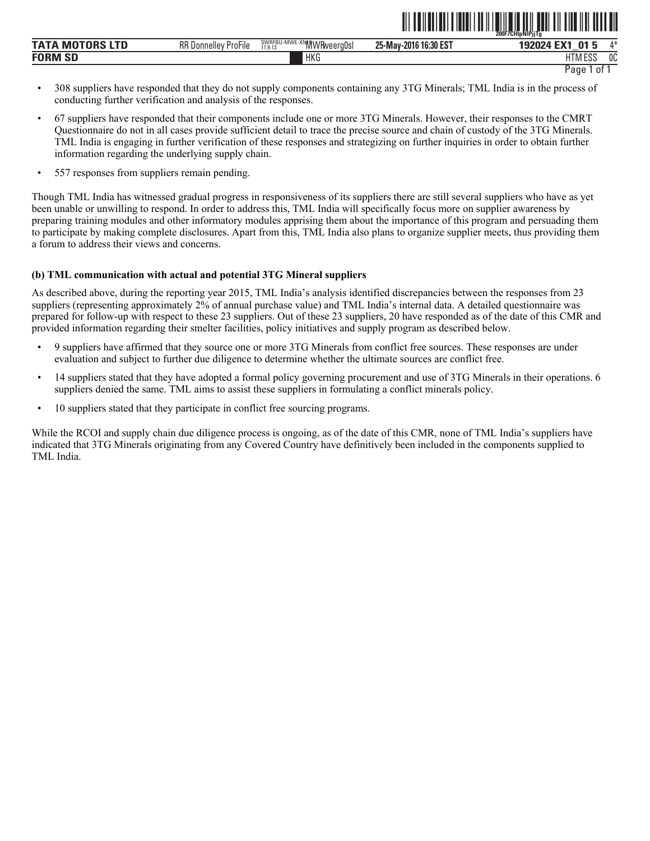|                        |                                                   |                                                                                        | -------                    | 200F7CHtpNIPjjTg               |              |
|------------------------|---------------------------------------------------|----------------------------------------------------------------------------------------|----------------------------|--------------------------------|--------------|
| ТАТА<br>1. T. D<br>IVІ | $- \cdot \cdot$<br><b>RR</b> Donnelley<br>ProFile | <b>BALAIT</b><br><b>XNMWRweergOsl</b><br>∂νν∩ΓDU-IVIVVE-λIν <sub>II∿.</sub><br>11.9.13 | J 16:30 EST<br>25-May-2016 | 01<br>$T_{\rm X}$<br>- 12<br>_ | $A \Delta$   |
| <b>FORM SD</b>         |                                                   | <b>HKG</b>                                                                             |                            | 1.500<br>דוו<br>וועווח<br>പാ   | $\sim$<br>υu |

Page 1 of 1

ˆ200F7CHtpNlPjjTgÀŠ

- 308 suppliers have responded that they do not supply components containing any 3TG Minerals; TML India is in the process of conducting further verification and analysis of the responses.
- 67 suppliers have responded that their components include one or more 3TG Minerals. However, their responses to the CMRT Questionnaire do not in all cases provide sufficient detail to trace the precise source and chain of custody of the 3TG Minerals. TML India is engaging in further verification of these responses and strategizing on further inquiries in order to obtain further information regarding the underlying supply chain.
- 557 responses from suppliers remain pending.

Though TML India has witnessed gradual progress in responsiveness of its suppliers there are still several suppliers who have as yet been unable or unwilling to respond. In order to address this, TML India will specifically focus more on supplier awareness by preparing training modules and other informatory modules apprising them about the importance of this program and persuading them to participate by making complete disclosures. Apart from this, TML India also plans to organize supplier meets, thus providing them a forum to address their views and concerns.

# **(b) TML communication with actual and potential 3TG Mineral suppliers**

As described above, during the reporting year 2015, TML India's analysis identified discrepancies between the responses from 23 suppliers (representing approximately 2% of annual purchase value) and TML India's internal data. A detailed questionnaire was prepared for follow-up with respect to these 23 suppliers. Out of these 23 suppliers, 20 have responded as of the date of this CMR and provided information regarding their smelter facilities, policy initiatives and supply program as described below.

- 9 suppliers have affirmed that they source one or more 3TG Minerals from conflict free sources. These responses are under evaluation and subject to further due diligence to determine whether the ultimate sources are conflict free.
- 14 suppliers stated that they have adopted a formal policy governing procurement and use of 3TG Minerals in their operations. 6 suppliers denied the same. TML aims to assist these suppliers in formulating a conflict minerals policy.
- 10 suppliers stated that they participate in conflict free sourcing programs.

While the RCOI and supply chain due diligence process is ongoing, as of the date of this CMR, none of TML India's suppliers have indicated that 3TG Minerals originating from any Covered Country have definitively been included in the components supplied to TML India.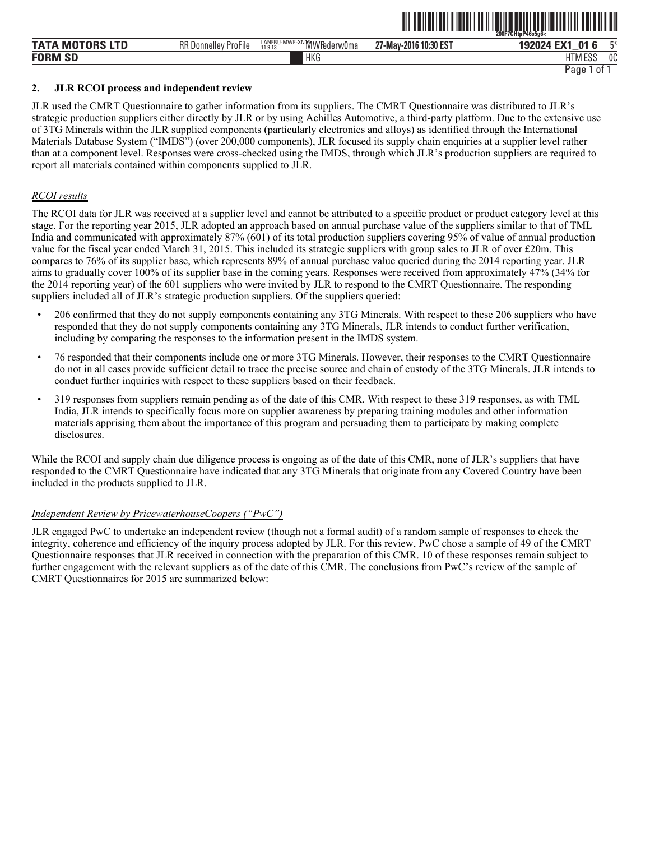|                             |                                            |                                                                                          | ----                             | <sup>200F7CHtpP46s5g6&lt;</sup> |              |
|-----------------------------|--------------------------------------------|------------------------------------------------------------------------------------------|----------------------------------|---------------------------------|--------------|
| <b>TATA</b><br>M            | $-\cdot$ .<br>RR<br>ProFile<br>. Donnellev | <b>MAINE</b><br><b>AALAIP</b><br>LANFBU-MWE<br><sup>-^</sup> "WIVVI ederw Uma<br>11.9.13 | , 10:30 EST<br>יי<br>27-May-2016 | 04<br>__                        | mм           |
| <b>FORM</b><br>$\sim$<br>ЮL |                                            | <b>HKG</b>                                                                               |                                  | 1.500<br>-17<br>אוור<br>LUL     | $\sim$<br>υu |

<u>îlî de hetbelî bi bakurî de hetbelî bi bakurî de hetbelî bi bakurî de heta ser</u>

Page 1 of 1

## **2. JLR RCOI process and independent review**

JLR used the CMRT Questionnaire to gather information from its suppliers. The CMRT Questionnaire was distributed to JLR's strategic production suppliers either directly by JLR or by using Achilles Automotive, a third-party platform. Due to the extensive use of 3TG Minerals within the JLR supplied components (particularly electronics and alloys) as identified through the International Materials Database System ("IMDS") (over 200,000 components), JLR focused its supply chain enquiries at a supplier level rather than at a component level. Responses were cross-checked using the IMDS, through which JLR's production suppliers are required to report all materials contained within components supplied to JLR.

# *RCOI results*

The RCOI data for JLR was received at a supplier level and cannot be attributed to a specific product or product category level at this stage. For the reporting year 2015, JLR adopted an approach based on annual purchase value of the suppliers similar to that of TML India and communicated with approximately 87% (601) of its total production suppliers covering 95% of value of annual production value for the fiscal year ended March 31, 2015. This included its strategic suppliers with group sales to JLR of over £20m. This compares to 76% of its supplier base, which represents 89% of annual purchase value queried during the 2014 reporting year. JLR aims to gradually cover 100% of its supplier base in the coming years. Responses were received from approximately 47% (34% for the 2014 reporting year) of the 601 suppliers who were invited by JLR to respond to the CMRT Questionnaire. The responding suppliers included all of JLR's strategic production suppliers. Of the suppliers queried:

- 206 confirmed that they do not supply components containing any 3TG Minerals. With respect to these 206 suppliers who have responded that they do not supply components containing any 3TG Minerals, JLR intends to conduct further verification, including by comparing the responses to the information present in the IMDS system.
- 76 responded that their components include one or more 3TG Minerals. However, their responses to the CMRT Questionnaire do not in all cases provide sufficient detail to trace the precise source and chain of custody of the 3TG Minerals. JLR intends to conduct further inquiries with respect to these suppliers based on their feedback.
- 319 responses from suppliers remain pending as of the date of this CMR. With respect to these 319 responses, as with TML India, JLR intends to specifically focus more on supplier awareness by preparing training modules and other information materials apprising them about the importance of this program and persuading them to participate by making complete disclosures.

While the RCOI and supply chain due diligence process is ongoing as of the date of this CMR, none of JLR's suppliers that have responded to the CMRT Questionnaire have indicated that any 3TG Minerals that originate from any Covered Country have been included in the products supplied to JLR.

# *Independent Review by PricewaterhouseCoopers ("PwC")*

JLR engaged PwC to undertake an independent review (though not a formal audit) of a random sample of responses to check the integrity, coherence and efficiency of the inquiry process adopted by JLR. For this review, PwC chose a sample of 49 of the CMRT Questionnaire responses that JLR received in connection with the preparation of this CMR. 10 of these responses remain subject to further engagement with the relevant suppliers as of the date of this CMR. The conclusions from PwC's review of the sample of CMRT Questionnaires for 2015 are summarized below: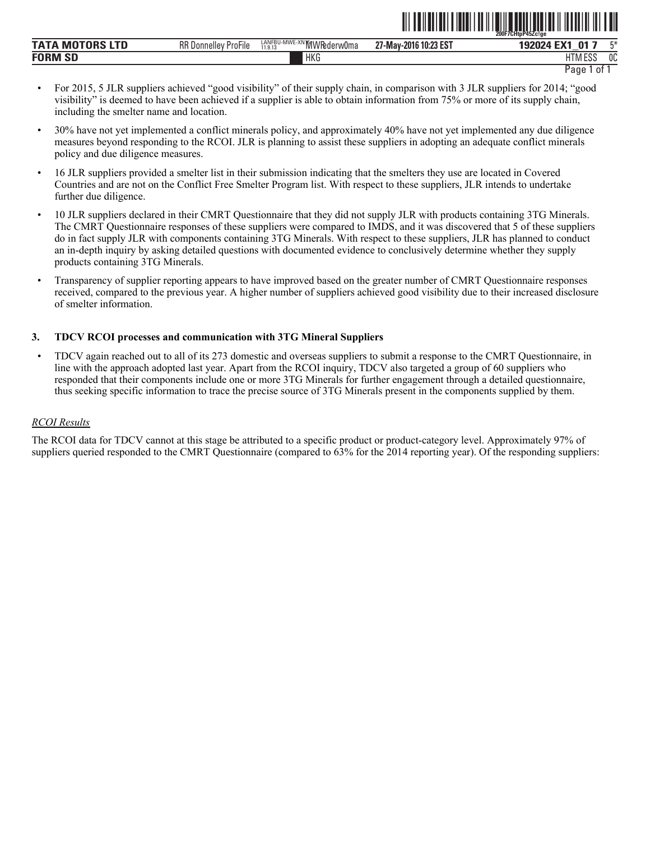|                               |                                                                |                                                   | --- - - - -                    | 200F7CHtpP45Zc!ge              |    |
|-------------------------------|----------------------------------------------------------------|---------------------------------------------------|--------------------------------|--------------------------------|----|
| <b>TATA</b><br>---<br>M<br>uĸ | $-$<br><b>RR</b> Donnel<br>ProFile<br>$\overline{\phantom{a}}$ | LANFBU-MWE<br><b>WE-XNIMWRederw0ma</b><br>11.9.13 | 10:23 EST<br>-2016<br>∠r-Mav-∵ | 01<br>$-111$<br>134<br>__      | г¥ |
| <b>FORM SD</b>                |                                                                | <b>HKG</b>                                        |                                | <b>LITM FOO</b><br>ועור<br>LUL | 0C |

```
Page 1 of 1
```
ˆ200F7CHtpP45Zc!geŠ

- For 2015, 5 JLR suppliers achieved "good visibility" of their supply chain, in comparison with 3 JLR suppliers for 2014; "good visibility" is deemed to have been achieved if a supplier is able to obtain information from 75% or more of its supply chain, including the smelter name and location.
- 30% have not yet implemented a conflict minerals policy, and approximately 40% have not yet implemented any due diligence measures beyond responding to the RCOI. JLR is planning to assist these suppliers in adopting an adequate conflict minerals policy and due diligence measures.
- 16 JLR suppliers provided a smelter list in their submission indicating that the smelters they use are located in Covered Countries and are not on the Conflict Free Smelter Program list. With respect to these suppliers, JLR intends to undertake further due diligence.
- 10 JLR suppliers declared in their CMRT Questionnaire that they did not supply JLR with products containing 3TG Minerals. The CMRT Questionnaire responses of these suppliers were compared to IMDS, and it was discovered that 5 of these suppliers do in fact supply JLR with components containing 3TG Minerals. With respect to these suppliers, JLR has planned to conduct an in-depth inquiry by asking detailed questions with documented evidence to conclusively determine whether they supply products containing 3TG Minerals.
- Transparency of supplier reporting appears to have improved based on the greater number of CMRT Questionnaire responses received, compared to the previous year. A higher number of suppliers achieved good visibility due to their increased disclosure of smelter information.

# **3. TDCV RCOI processes and communication with 3TG Mineral Suppliers**

• TDCV again reached out to all of its 273 domestic and overseas suppliers to submit a response to the CMRT Questionnaire, in line with the approach adopted last year. Apart from the RCOI inquiry, TDCV also targeted a group of 60 suppliers who responded that their components include one or more 3TG Minerals for further engagement through a detailed questionnaire, thus seeking specific information to trace the precise source of 3TG Minerals present in the components supplied by them.

# *RCOI Results*

The RCOI data for TDCV cannot at this stage be attributed to a specific product or product-category level. Approximately 97% of suppliers queried responded to the CMRT Questionnaire (compared to 63% for the 2014 reporting year). Of the responding suppliers: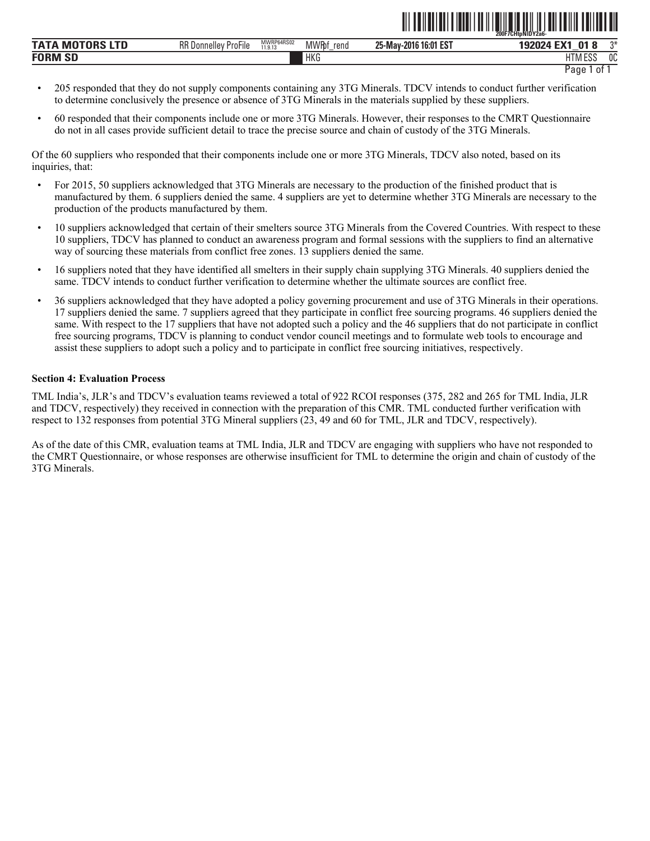|                             |                                          |                       |                       | ---                                                 | 200F7CHtpNIDY2a6-<br>----------            |          |
|-----------------------------|------------------------------------------|-----------------------|-----------------------|-----------------------------------------------------|--------------------------------------------|----------|
| TAT <i>i</i><br>---<br>MI   | DD F<br>: ProFile<br><b>RK Donnelley</b> | MWRP64RS02<br>11.9.13 | <b>MWR</b> bf<br>rend | .J16 16:01 F <sup>o-</sup><br>25-May-2016<br>∶נט⊾ ו | $T_{\rm XZ}$<br><b>01</b><br>_             | $\sim$   |
| <b>FORM</b><br>$\sim$<br>ÐЬ |                                          |                       | <b>HKG</b>            |                                                     | $-0.0$<br>$1 - 1 - 1$<br>. I IVI<br>. ∟∪∟' | ∩∩<br>UU |

```
Page 1 of 1
```
ˆ200F7CHtpNlDY2a6-Š

- 205 responded that they do not supply components containing any 3TG Minerals. TDCV intends to conduct further verification to determine conclusively the presence or absence of 3TG Minerals in the materials supplied by these suppliers.
- 60 responded that their components include one or more 3TG Minerals. However, their responses to the CMRT Questionnaire do not in all cases provide sufficient detail to trace the precise source and chain of custody of the 3TG Minerals.

Of the 60 suppliers who responded that their components include one or more 3TG Minerals, TDCV also noted, based on its inquiries, that:

- For 2015, 50 suppliers acknowledged that 3TG Minerals are necessary to the production of the finished product that is manufactured by them. 6 suppliers denied the same. 4 suppliers are yet to determine whether 3TG Minerals are necessary to the production of the products manufactured by them.
- 10 suppliers acknowledged that certain of their smelters source 3TG Minerals from the Covered Countries. With respect to these 10 suppliers, TDCV has planned to conduct an awareness program and formal sessions with the suppliers to find an alternative way of sourcing these materials from conflict free zones. 13 suppliers denied the same.
- 16 suppliers noted that they have identified all smelters in their supply chain supplying 3TG Minerals. 40 suppliers denied the same. TDCV intends to conduct further verification to determine whether the ultimate sources are conflict free.
- 36 suppliers acknowledged that they have adopted a policy governing procurement and use of 3TG Minerals in their operations. 17 suppliers denied the same. 7 suppliers agreed that they participate in conflict free sourcing programs. 46 suppliers denied the same. With respect to the 17 suppliers that have not adopted such a policy and the 46 suppliers that do not participate in conflict free sourcing programs, TDCV is planning to conduct vendor council meetings and to formulate web tools to encourage and assist these suppliers to adopt such a policy and to participate in conflict free sourcing initiatives, respectively.

# **Section 4: Evaluation Process**

TML India's, JLR's and TDCV's evaluation teams reviewed a total of 922 RCOI responses (375, 282 and 265 for TML India, JLR and TDCV, respectively) they received in connection with the preparation of this CMR. TML conducted further verification with respect to 132 responses from potential 3TG Mineral suppliers (23, 49 and 60 for TML, JLR and TDCV, respectively).

As of the date of this CMR, evaluation teams at TML India, JLR and TDCV are engaging with suppliers who have not responded to the CMRT Questionnaire, or whose responses are otherwise insufficient for TML to determine the origin and chain of custody of the 3TG Minerals.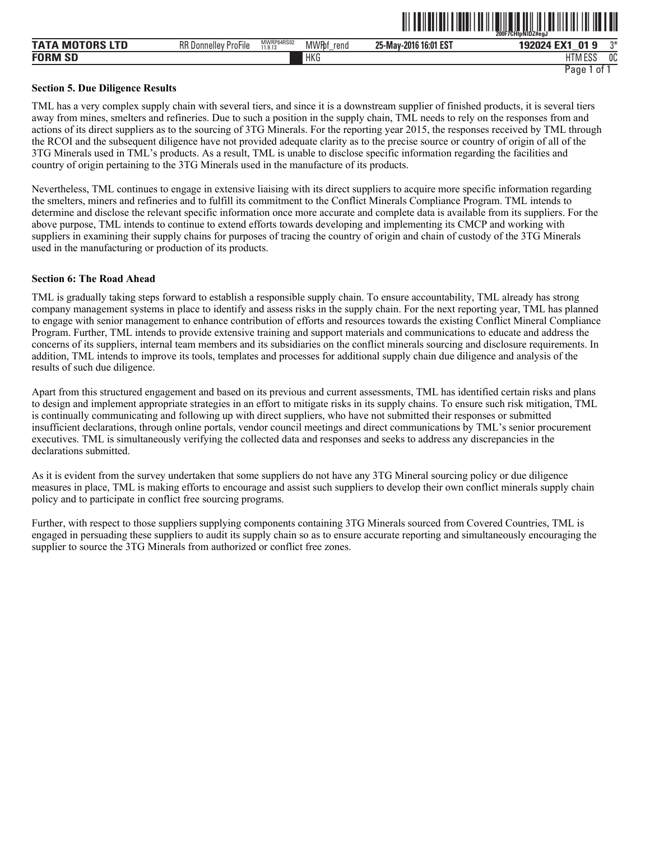| <b>MOTORS LTD</b><br><b>TATA</b> | <b>RR Donnelley</b><br>$- \cdot \cdot$<br>-<br>∙ ProFile | MWRP64RS02<br>11.9.13 | <b>MWRf</b><br>rend | 16:01 EST<br>25-May-2016 | <b>EV4</b><br>01 <sub>9</sub><br>192024 | ግ*             |
|----------------------------------|----------------------------------------------------------|-----------------------|---------------------|--------------------------|-----------------------------------------|----------------|
| <b>FORM SD</b>                   |                                                          |                       | <b>HKG</b>          |                          | HTM ESS                                 | <sub>0</sub> C |
|                                  |                                                          |                       |                     |                          | Page<br>0t                              |                |

ˆ200F7CHtpNlDZ#egJŠ

#### **Section 5. Due Diligence Results**

TML has a very complex supply chain with several tiers, and since it is a downstream supplier of finished products, it is several tiers away from mines, smelters and refineries. Due to such a position in the supply chain, TML needs to rely on the responses from and actions of its direct suppliers as to the sourcing of 3TG Minerals. For the reporting year 2015, the responses received by TML through the RCOI and the subsequent diligence have not provided adequate clarity as to the precise source or country of origin of all of the 3TG Minerals used in TML's products. As a result, TML is unable to disclose specific information regarding the facilities and country of origin pertaining to the 3TG Minerals used in the manufacture of its products.

Nevertheless, TML continues to engage in extensive liaising with its direct suppliers to acquire more specific information regarding the smelters, miners and refineries and to fulfill its commitment to the Conflict Minerals Compliance Program. TML intends to determine and disclose the relevant specific information once more accurate and complete data is available from its suppliers. For the above purpose, TML intends to continue to extend efforts towards developing and implementing its CMCP and working with suppliers in examining their supply chains for purposes of tracing the country of origin and chain of custody of the 3TG Minerals used in the manufacturing or production of its products.

## **Section 6: The Road Ahead**

TML is gradually taking steps forward to establish a responsible supply chain. To ensure accountability, TML already has strong company management systems in place to identify and assess risks in the supply chain. For the next reporting year, TML has planned to engage with senior management to enhance contribution of efforts and resources towards the existing Conflict Mineral Compliance Program. Further, TML intends to provide extensive training and support materials and communications to educate and address the concerns of its suppliers, internal team members and its subsidiaries on the conflict minerals sourcing and disclosure requirements. In addition, TML intends to improve its tools, templates and processes for additional supply chain due diligence and analysis of the results of such due diligence.

Apart from this structured engagement and based on its previous and current assessments, TML has identified certain risks and plans to design and implement appropriate strategies in an effort to mitigate risks in its supply chains. To ensure such risk mitigation, TML is continually communicating and following up with direct suppliers, who have not submitted their responses or submitted insufficient declarations, through online portals, vendor council meetings and direct communications by TML's senior procurement executives. TML is simultaneously verifying the collected data and responses and seeks to address any discrepancies in the declarations submitted.

As it is evident from the survey undertaken that some suppliers do not have any 3TG Mineral sourcing policy or due diligence measures in place, TML is making efforts to encourage and assist such suppliers to develop their own conflict minerals supply chain policy and to participate in conflict free sourcing programs.

Further, with respect to those suppliers supplying components containing 3TG Minerals sourced from Covered Countries, TML is engaged in persuading these suppliers to audit its supply chain so as to ensure accurate reporting and simultaneously encouraging the supplier to source the 3TG Minerals from authorized or conflict free zones.